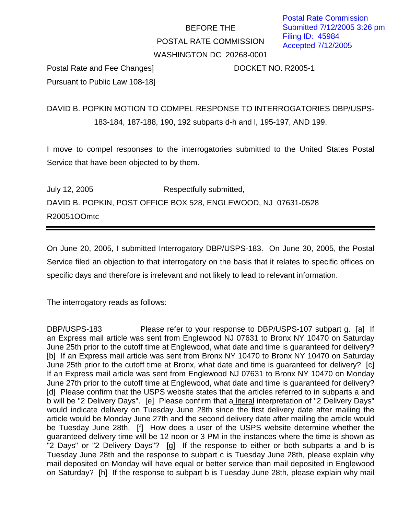## BEFORE THE POSTAL RATE COMMISSION WASHINGTON DC 20268-0001

Postal Rate and Fee Changes] DOCKET NO. R2005-1 Pursuant to Public Law 108-18]

DAVID B. POPKIN MOTION TO COMPEL RESPONSE TO INTERROGATORIES DBP/USPS-183-184, 187-188, 190, 192 subparts d-h and l, 195-197, AND 199.

I move to compel responses to the interrogatories submitted to the United States Postal Service that have been objected to by them.

July 12, 2005 Respectfully submitted, DAVID B. POPKIN, POST OFFICE BOX 528, ENGLEWOOD, NJ 07631-0528 R20051OOmtc

On June 20, 2005, I submitted Interrogatory DBP/USPS-183. On June 30, 2005, the Postal Service filed an objection to that interrogatory on the basis that it relates to specific offices on specific days and therefore is irrelevant and not likely to lead to relevant information.

The interrogatory reads as follows:

DBP/USPS-183 Please refer to your response to DBP/USPS-107 subpart q. [a] If an Express mail article was sent from Englewood NJ 07631 to Bronx NY 10470 on Saturday June 25th prior to the cutoff time at Englewood, what date and time is guaranteed for delivery? [b] If an Express mail article was sent from Bronx NY 10470 to Bronx NY 10470 on Saturday June 25th prior to the cutoff time at Bronx, what date and time is guaranteed for delivery? [c] If an Express mail article was sent from Englewood NJ 07631 to Bronx NY 10470 on Monday June 27th prior to the cutoff time at Englewood, what date and time is guaranteed for delivery? [d] Please confirm that the USPS website states that the articles referred to in subparts a and b will be "2 Delivery Days". [e] Please confirm that a literal interpretation of "2 Delivery Days" would indicate delivery on Tuesday June 28th since the first delivery date after mailing the article would be Monday June 27th and the second delivery date after mailing the article would be Tuesday June 28th. [f] How does a user of the USPS website determine whether the guaranteed delivery time will be 12 noon or 3 PM in the instances where the time is shown as "2 Days" or "2 Delivery Days"? [g] If the response to either or both subparts a and b is Tuesday June 28th and the response to subpart c is Tuesday June 28th, please explain why mail deposited on Monday will have equal or better service than mail deposited in Englewood on Saturday? [h] If the response to subpart b is Tuesday June 28th, please explain why mail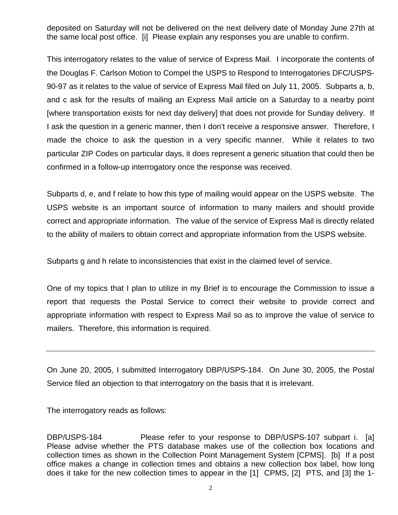deposited on Saturday will not be delivered on the next delivery date of Monday June 27th at the same local post office. [i] Please explain any responses you are unable to confirm.

This interrogatory relates to the value of service of Express Mail. I incorporate the contents of the Douglas F. Carlson Motion to Compel the USPS to Respond to Interrogatories DFC/USPS-90-97 as it relates to the value of service of Express Mail filed on July 11, 2005. Subparts a, b, and c ask for the results of mailing an Express Mail article on a Saturday to a nearby point [where transportation exists for next day delivery] that does not provide for Sunday delivery. If I ask the question in a generic manner, then I don't receive a responsive answer. Therefore, I made the choice to ask the question in a very specific manner. While it relates to two particular ZIP Codes on particular days, it does represent a generic situation that could then be confirmed in a follow-up interrogatory once the response was received.

Subparts d, e, and f relate to how this type of mailing would appear on the USPS website. The USPS website is an important source of information to many mailers and should provide correct and appropriate information. The value of the service of Express Mail is directly related to the ability of mailers to obtain correct and appropriate information from the USPS website.

Subparts g and h relate to inconsistencies that exist in the claimed level of service.

One of my topics that I plan to utilize in my Brief is to encourage the Commission to issue a report that requests the Postal Service to correct their website to provide correct and appropriate information with respect to Express Mail so as to improve the value of service to mailers. Therefore, this information is required.

On June 20, 2005, I submitted Interrogatory DBP/USPS-184. On June 30, 2005, the Postal Service filed an objection to that interrogatory on the basis that it is irrelevant.

The interrogatory reads as follows:

DBP/USPS-184 Please refer to your response to DBP/USPS-107 subpart i. [a] Please advise whether the PTS database makes use of the collection box locations and collection times as shown in the Collection Point Management System [CPMS]. [b] If a post office makes a change in collection times and obtains a new collection box label, how long does it take for the new collection times to appear in the [1] CPMS, [2] PTS, and [3] the 1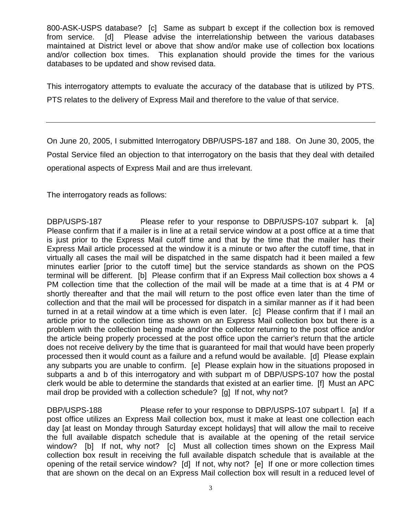800-ASK-USPS database? [c] Same as subpart b except if the collection box is removed from service. [d] Please advise the interrelationship between the various databases maintained at District level or above that show and/or make use of collection box locations and/or collection box times. This explanation should provide the times for the various databases to be updated and show revised data.

This interrogatory attempts to evaluate the accuracy of the database that is utilized by PTS. PTS relates to the delivery of Express Mail and therefore to the value of that service.

On June 20, 2005, I submitted Interrogatory DBP/USPS-187 and 188. On June 30, 2005, the Postal Service filed an objection to that interrogatory on the basis that they deal with detailed operational aspects of Express Mail and are thus irrelevant.

The interrogatory reads as follows:

DBP/USPS-187 Please refer to your response to DBP/USPS-107 subpart k. [a] Please confirm that if a mailer is in line at a retail service window at a post office at a time that is just prior to the Express Mail cutoff time and that by the time that the mailer has their Express Mail article processed at the window it is a minute or two after the cutoff time, that in virtually all cases the mail will be dispatched in the same dispatch had it been mailed a few minutes earlier [prior to the cutoff time] but the service standards as shown on the POS terminal will be different. [b] Please confirm that if an Express Mail collection box shows a 4 PM collection time that the collection of the mail will be made at a time that is at 4 PM or shortly thereafter and that the mail will return to the post office even later than the time of collection and that the mail will be processed for dispatch in a similar manner as if it had been turned in at a retail window at a time which is even later. [c] Please confirm that if I mail an article prior to the collection time as shown on an Express Mail collection box but there is a problem with the collection being made and/or the collector returning to the post office and/or the article being properly processed at the post office upon the carrier's return that the article does not receive delivery by the time that is guaranteed for mail that would have been properly processed then it would count as a failure and a refund would be available. [d] Please explain any subparts you are unable to confirm. [e] Please explain how in the situations proposed in subparts a and b of this interrogatory and with subpart m of DBP/USPS-107 how the postal clerk would be able to determine the standards that existed at an earlier time. [f] Must an APC mail drop be provided with a collection schedule? [g] If not, why not?

DBP/USPS-188 Please refer to your response to DBP/USPS-107 subpart l. [a] If a post office utilizes an Express Mail collection box, must it make at least one collection each day [at least on Monday through Saturday except holidays] that will allow the mail to receive the full available dispatch schedule that is available at the opening of the retail service window? [b] If not, why not? [c] Must all collection times shown on the Express Mail collection box result in receiving the full available dispatch schedule that is available at the opening of the retail service window? [d] If not, why not? [e] If one or more collection times that are shown on the decal on an Express Mail collection box will result in a reduced level of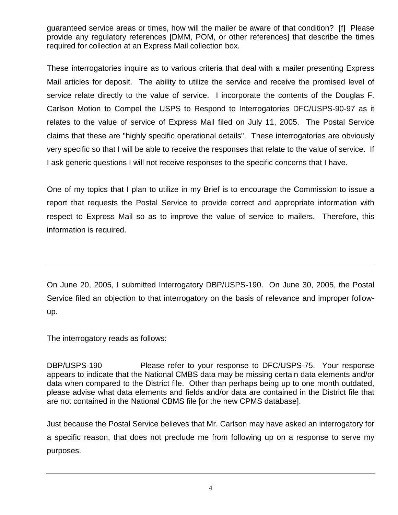guaranteed service areas or times, how will the mailer be aware of that condition? [f] Please provide any regulatory references [DMM, POM, or other references] that describe the times required for collection at an Express Mail collection box.

These interrogatories inquire as to various criteria that deal with a mailer presenting Express Mail articles for deposit. The ability to utilize the service and receive the promised level of service relate directly to the value of service. I incorporate the contents of the Douglas F. Carlson Motion to Compel the USPS to Respond to Interrogatories DFC/USPS-90-97 as it relates to the value of service of Express Mail filed on July 11, 2005. The Postal Service claims that these are "highly specific operational details". These interrogatories are obviously very specific so that I will be able to receive the responses that relate to the value of service. If I ask generic questions I will not receive responses to the specific concerns that I have.

One of my topics that I plan to utilize in my Brief is to encourage the Commission to issue a report that requests the Postal Service to provide correct and appropriate information with respect to Express Mail so as to improve the value of service to mailers. Therefore, this information is required.

On June 20, 2005, I submitted Interrogatory DBP/USPS-190. On June 30, 2005, the Postal Service filed an objection to that interrogatory on the basis of relevance and improper followup.

The interrogatory reads as follows:

DBP/USPS-190 Please refer to your response to DFC/USPS-75. Your response appears to indicate that the National CMBS data may be missing certain data elements and/or data when compared to the District file. Other than perhaps being up to one month outdated, please advise what data elements and fields and/or data are contained in the District file that are not contained in the National CBMS file [or the new CPMS database].

Just because the Postal Service believes that Mr. Carlson may have asked an interrogatory for a specific reason, that does not preclude me from following up on a response to serve my purposes.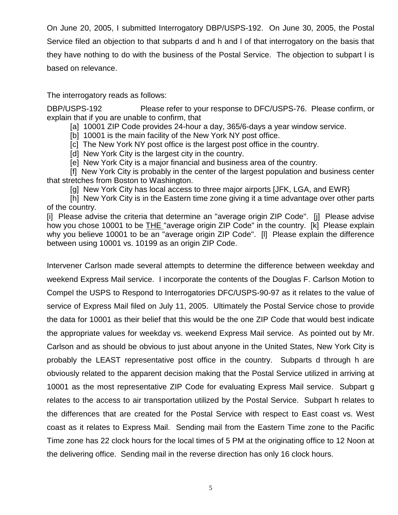On June 20, 2005, I submitted Interrogatory DBP/USPS-192. On June 30, 2005, the Postal Service filed an objection to that subparts d and h and l of that interrogatory on the basis that they have nothing to do with the business of the Postal Service. The objection to subpart l is based on relevance.

The interrogatory reads as follows:

DBP/USPS-192 Please refer to your response to DFC/USPS-76. Please confirm, or explain that if you are unable to confirm, that

[a] 10001 ZIP Code provides 24-hour a day, 365/6-days a year window service.

[b] 10001 is the main facility of the New York NY post office.

[c] The New York NY post office is the largest post office in the country.

[d] New York City is the largest city in the country.

[e] New York City is a major financial and business area of the country.

 [f] New York City is probably in the center of the largest population and business center that stretches from Boston to Washington.

[g] New York City has local access to three major airports [JFK, LGA, and EWR}

 [h] New York City is in the Eastern time zone giving it a time advantage over other parts of the country.

[i] Please advise the criteria that determine an "average origin ZIP Code". [j] Please advise how you chose 10001 to be THE "average origin ZIP Code" in the country. [k] Please explain why you believe 10001 to be an "average origin ZIP Code". [l] Please explain the difference between using 10001 vs. 10199 as an origin ZIP Code.

Intervener Carlson made several attempts to determine the difference between weekday and weekend Express Mail service. I incorporate the contents of the Douglas F. Carlson Motion to Compel the USPS to Respond to Interrogatories DFC/USPS-90-97 as it relates to the value of service of Express Mail filed on July 11, 2005. Ultimately the Postal Service chose to provide the data for 10001 as their belief that this would be the one ZIP Code that would best indicate the appropriate values for weekday vs. weekend Express Mail service. As pointed out by Mr. Carlson and as should be obvious to just about anyone in the United States, New York City is probably the LEAST representative post office in the country. Subparts d through h are obviously related to the apparent decision making that the Postal Service utilized in arriving at 10001 as the most representative ZIP Code for evaluating Express Mail service. Subpart g relates to the access to air transportation utilized by the Postal Service. Subpart h relates to the differences that are created for the Postal Service with respect to East coast vs. West coast as it relates to Express Mail. Sending mail from the Eastern Time zone to the Pacific Time zone has 22 clock hours for the local times of 5 PM at the originating office to 12 Noon at the delivering office. Sending mail in the reverse direction has only 16 clock hours.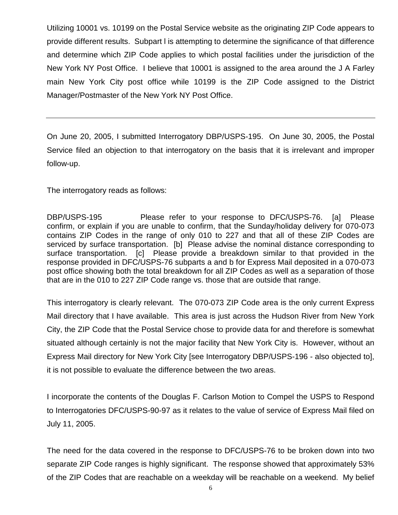Utilizing 10001 vs. 10199 on the Postal Service website as the originating ZIP Code appears to provide different results. Subpart l is attempting to determine the significance of that difference and determine which ZIP Code applies to which postal facilities under the jurisdiction of the New York NY Post Office. I believe that 10001 is assigned to the area around the J A Farley main New York City post office while 10199 is the ZIP Code assigned to the District Manager/Postmaster of the New York NY Post Office.

On June 20, 2005, I submitted Interrogatory DBP/USPS-195. On June 30, 2005, the Postal Service filed an objection to that interrogatory on the basis that it is irrelevant and improper follow-up.

The interrogatory reads as follows:

DBP/USPS-195 Please refer to your response to DFC/USPS-76. [a] Please confirm, or explain if you are unable to confirm, that the Sunday/holiday delivery for 070-073 contains ZIP Codes in the range of only 010 to 227 and that all of these ZIP Codes are serviced by surface transportation. [b] Please advise the nominal distance corresponding to surface transportation. [c] Please provide a breakdown similar to that provided in the response provided in DFC/USPS-76 subparts a and b for Express Mail deposited in a 070-073 post office showing both the total breakdown for all ZIP Codes as well as a separation of those that are in the 010 to 227 ZIP Code range vs. those that are outside that range.

This interrogatory is clearly relevant. The 070-073 ZIP Code area is the only current Express Mail directory that I have available. This area is just across the Hudson River from New York City, the ZIP Code that the Postal Service chose to provide data for and therefore is somewhat situated although certainly is not the major facility that New York City is. However, without an Express Mail directory for New York City [see Interrogatory DBP/USPS-196 - also objected to], it is not possible to evaluate the difference between the two areas.

I incorporate the contents of the Douglas F. Carlson Motion to Compel the USPS to Respond to Interrogatories DFC/USPS-90-97 as it relates to the value of service of Express Mail filed on July 11, 2005.

The need for the data covered in the response to DFC/USPS-76 to be broken down into two separate ZIP Code ranges is highly significant. The response showed that approximately 53% of the ZIP Codes that are reachable on a weekday will be reachable on a weekend. My belief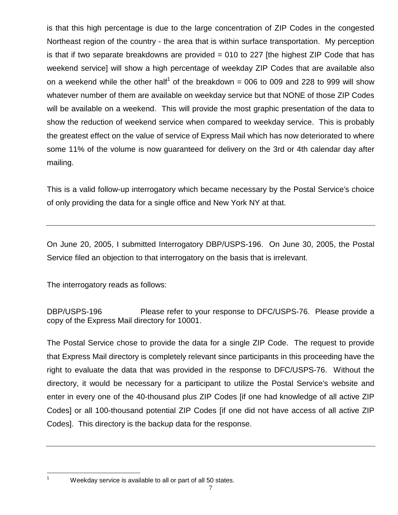is that this high percentage is due to the large concentration of ZIP Codes in the congested Northeast region of the country - the area that is within surface transportation. My perception is that if two separate breakdowns are provided  $= 010$  to 227 [the highest ZIP Code that has weekend service] will show a high percentage of weekday ZIP Codes that are available also on a weekend while the other half<sup>1</sup> of the breakdown = 006 to 009 and 228 to 999 will show whatever number of them are available on weekday service but that NONE of those ZIP Codes will be available on a weekend. This will provide the most graphic presentation of the data to show the reduction of weekend service when compared to weekday service. This is probably the greatest effect on the value of service of Express Mail which has now deteriorated to where some 11% of the volume is now guaranteed for delivery on the 3rd or 4th calendar day after mailing.

This is a valid follow-up interrogatory which became necessary by the Postal Service's choice of only providing the data for a single office and New York NY at that.

On June 20, 2005, I submitted Interrogatory DBP/USPS-196. On June 30, 2005, the Postal Service filed an objection to that interrogatory on the basis that is irrelevant.

The interrogatory reads as follows:

DBP/USPS-196 Please refer to your response to DFC/USPS-76. Please provide a copy of the Express Mail directory for 10001.

The Postal Service chose to provide the data for a single ZIP Code. The request to provide that Express Mail directory is completely relevant since participants in this proceeding have the right to evaluate the data that was provided in the response to DFC/USPS-76. Without the directory, it would be necessary for a participant to utilize the Postal Service's website and enter in every one of the 40-thousand plus ZIP Codes [if one had knowledge of all active ZIP Codes] or all 100-thousand potential ZIP Codes [if one did not have access of all active ZIP Codes]. This directory is the backup data for the response.

<sup>&</sup>lt;sup>1</sup> Weekday service is available to all or part of all 50 states.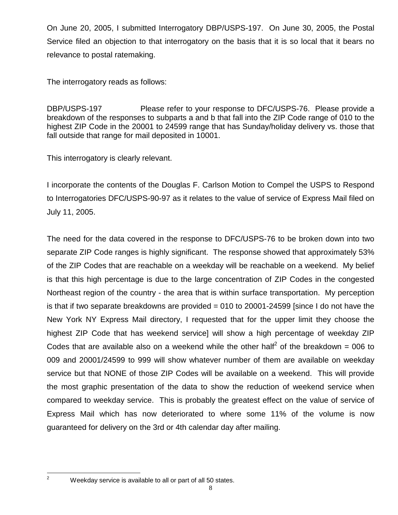On June 20, 2005, I submitted Interrogatory DBP/USPS-197. On June 30, 2005, the Postal Service filed an objection to that interrogatory on the basis that it is so local that it bears no relevance to postal ratemaking.

The interrogatory reads as follows:

DBP/USPS-197 Please refer to your response to DFC/USPS-76. Please provide a breakdown of the responses to subparts a and b that fall into the ZIP Code range of 010 to the highest ZIP Code in the 20001 to 24599 range that has Sunday/holiday delivery vs. those that fall outside that range for mail deposited in 10001.

This interrogatory is clearly relevant.

I incorporate the contents of the Douglas F. Carlson Motion to Compel the USPS to Respond to Interrogatories DFC/USPS-90-97 as it relates to the value of service of Express Mail filed on July 11, 2005.

The need for the data covered in the response to DFC/USPS-76 to be broken down into two separate ZIP Code ranges is highly significant. The response showed that approximately 53% of the ZIP Codes that are reachable on a weekday will be reachable on a weekend. My belief is that this high percentage is due to the large concentration of ZIP Codes in the congested Northeast region of the country - the area that is within surface transportation. My perception is that if two separate breakdowns are provided  $= 010$  to 20001-24599 [since I do not have the New York NY Express Mail directory, I requested that for the upper limit they choose the highest ZIP Code that has weekend service] will show a high percentage of weekday ZIP Codes that are available also on a weekend while the other half<sup>2</sup> of the breakdown = 006 to 009 and 20001/24599 to 999 will show whatever number of them are available on weekday service but that NONE of those ZIP Codes will be available on a weekend. This will provide the most graphic presentation of the data to show the reduction of weekend service when compared to weekday service. This is probably the greatest effect on the value of service of Express Mail which has now deteriorated to where some 11% of the volume is now guaranteed for delivery on the 3rd or 4th calendar day after mailing.

 $2^2$  Weekday service is available to all or part of all 50 states.